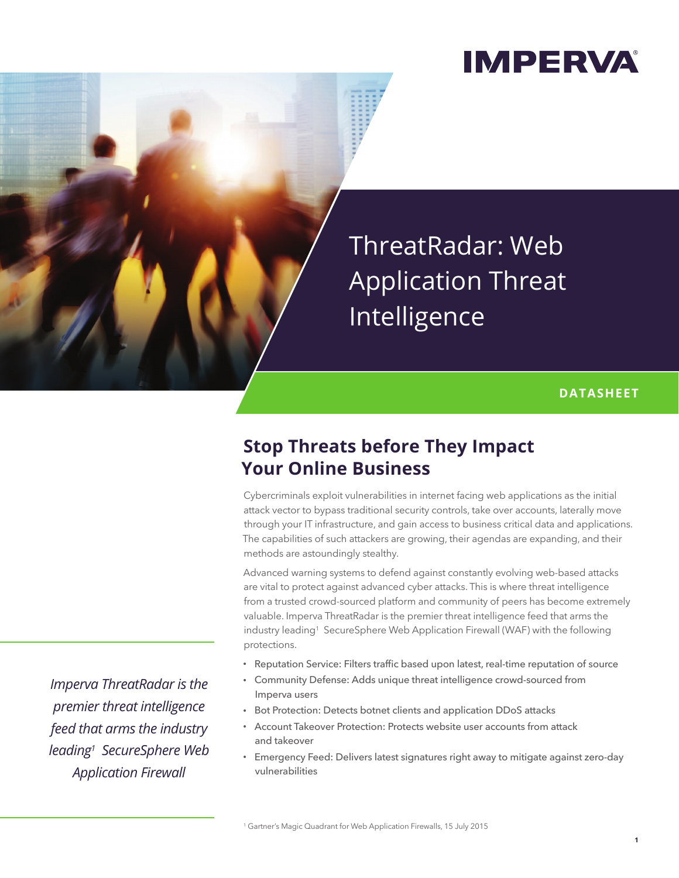## **IMPERVA**

ThreatRadar: Web Application Threat Intelligence

#### **DATASHEET**

### **Stop Threats before They Impact Your Online Business**

Cybercriminals exploit vulnerabilities in internet facing web applications as the initial attack vector to bypass traditional security controls, take over accounts, laterally move through your IT infrastructure, and gain access to business critical data and applications. The capabilities of such attackers are growing, their agendas are expanding, and their methods are astoundingly stealthy.

Advanced warning systems to defend against constantly evolving web-based attacks are vital to protect against advanced cyber attacks. This is where threat intelligence from a trusted crowd-sourced platform and community of peers has become extremely valuable. Imperva ThreatRadar is the premier threat intelligence feed that arms the industry leading1 SecureSphere Web Application Firewall (WAF) with the following protections.

- Reputation Service: Filters traffic based upon latest, real-time reputation of source
- Community Defense: Adds unique threat intelligence crowd-sourced from Imperva users
- Bot Protection: Detects botnet clients and application DDoS attacks
- Account Takeover Protection: Protects website user accounts from attack and takeover
- Emergency Feed: Delivers latest signatures right away to mitigate against zero-day vulnerabilities

*Imperva ThreatRadar is the premier threat intelligence feed that arms the industry leading1 SecureSphere Web Application Firewall*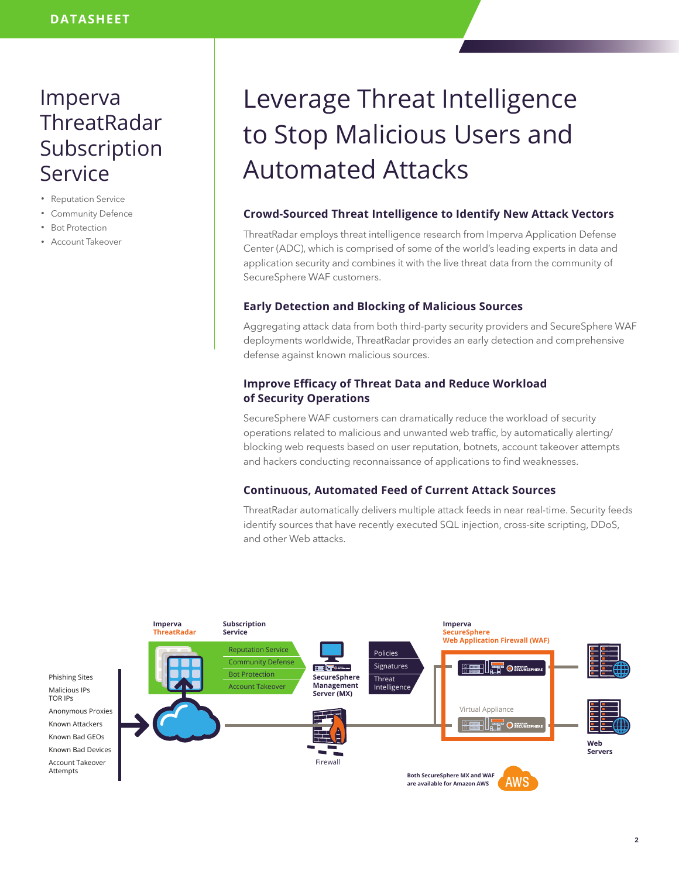### Imperva **ThreatRadar** Subscription Service

- Reputation Service
- Community Defence
- Bot Protection
- Account Takeover

# Leverage Threat Intelligence to Stop Malicious Users and Automated Attacks

#### **Crowd-Sourced Threat Intelligence to Identify New Attack Vectors**

ThreatRadar employs threat intelligence research from Imperva Application Defense Center (ADC), which is comprised of some of the world's leading experts in data and application security and combines it with the live threat data from the community of SecureSphere WAF customers.

#### **Early Detection and Blocking of Malicious Sources**

Aggregating attack data from both third-party security providers and SecureSphere WAF deployments worldwide, ThreatRadar provides an early detection and comprehensive defense against known malicious sources.

#### **Improve Efficacy of Threat Data and Reduce Workload of Security Operations**

SecureSphere WAF customers can dramatically reduce the workload of security operations related to malicious and unwanted web traffic, by automatically alerting/ blocking web requests based on user reputation, botnets, account takeover attempts and hackers conducting reconnaissance of applications to find weaknesses.

#### **Continuous, Automated Feed of Current Attack Sources**

ThreatRadar automatically delivers multiple attack feeds in near real-time. Security feeds identify sources that have recently executed SQL injection, cross-site scripting, DDoS, and other Web attacks.

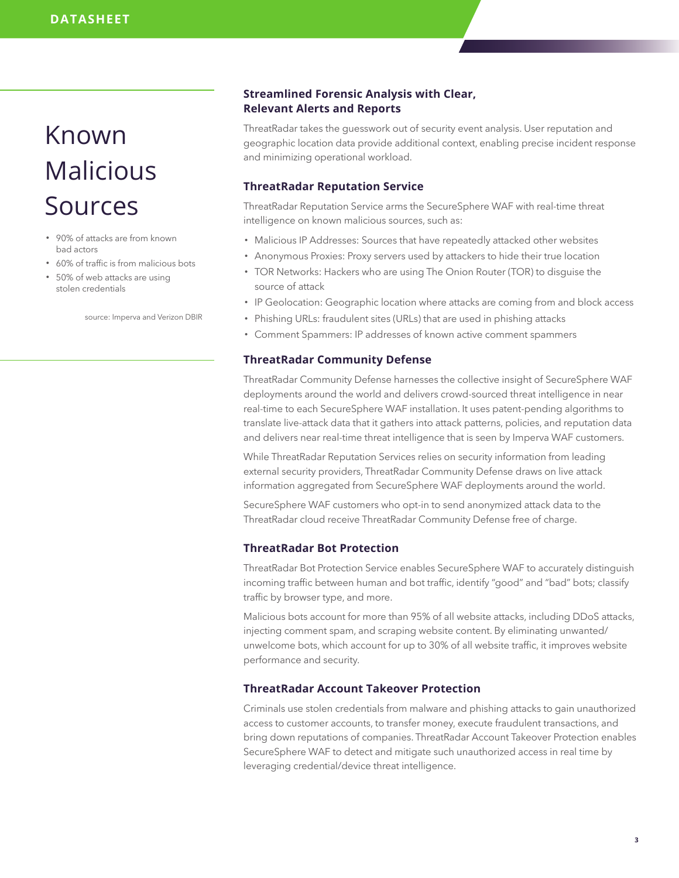## Known Malicious Sources

- 90% of attacks are from known bad actors
- 60% of traffic is from malicious bots
- 50% of web attacks are using stolen credentials

source: Imperva and Verizon DBIR

#### **Streamlined Forensic Analysis with Clear, Relevant Alerts and Reports**

ThreatRadar takes the guesswork out of security event analysis. User reputation and geographic location data provide additional context, enabling precise incident response and minimizing operational workload.

#### **ThreatRadar Reputation Service**

ThreatRadar Reputation Service arms the SecureSphere WAF with real-time threat intelligence on known malicious sources, such as:

- Malicious IP Addresses: Sources that have repeatedly attacked other websites
- Anonymous Proxies: Proxy servers used by attackers to hide their true location
- TOR Networks: Hackers who are using The Onion Router (TOR) to disguise the source of attack
- IP Geolocation: Geographic location where attacks are coming from and block access
- Phishing URLs: fraudulent sites (URLs) that are used in phishing attacks
- Comment Spammers: IP addresses of known active comment spammers

#### **ThreatRadar Community Defense**

ThreatRadar Community Defense harnesses the collective insight of SecureSphere WAF deployments around the world and delivers crowd-sourced threat intelligence in near real-time to each SecureSphere WAF installation. It uses patent-pending algorithms to translate live-attack data that it gathers into attack patterns, policies, and reputation data and delivers near real-time threat intelligence that is seen by Imperva WAF customers.

While ThreatRadar Reputation Services relies on security information from leading external security providers, ThreatRadar Community Defense draws on live attack information aggregated from SecureSphere WAF deployments around the world.

SecureSphere WAF customers who opt-in to send anonymized attack data to the ThreatRadar cloud receive ThreatRadar Community Defense free of charge.

#### **ThreatRadar Bot Protection**

ThreatRadar Bot Protection Service enables SecureSphere WAF to accurately distinguish incoming traffic between human and bot traffic, identify "good" and "bad" bots; classify traffic by browser type, and more.

Malicious bots account for more than 95% of all website attacks, including DDoS attacks, injecting comment spam, and scraping website content. By eliminating unwanted/ unwelcome bots, which account for up to 30% of all website traffic, it improves website performance and security.

#### **ThreatRadar Account Takeover Protection**

Criminals use stolen credentials from malware and phishing attacks to gain unauthorized access to customer accounts, to transfer money, execute fraudulent transactions, and bring down reputations of companies. ThreatRadar Account Takeover Protection enables SecureSphere WAF to detect and mitigate such unauthorized access in real time by leveraging credential/device threat intelligence.

**3**